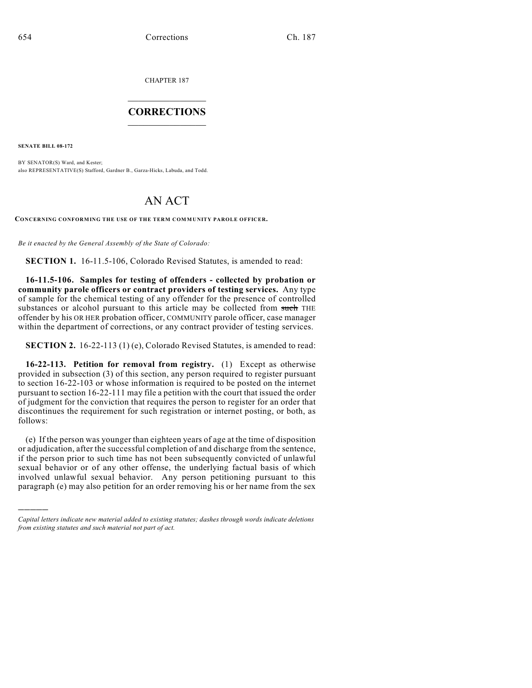CHAPTER 187

## $\mathcal{L}_\text{max}$  . The set of the set of the set of the set of the set of the set of the set of the set of the set of the set of the set of the set of the set of the set of the set of the set of the set of the set of the set **CORRECTIONS**  $\frac{1}{2}$  ,  $\frac{1}{2}$  ,  $\frac{1}{2}$  ,  $\frac{1}{2}$  ,  $\frac{1}{2}$  ,  $\frac{1}{2}$

**SENATE BILL 08-172**

)))))

BY SENATOR(S) Ward, and Kester; also REPRESENTATIVE(S) Stafford, Gardner B., Garza-Hicks, Labuda, and Todd.

# AN ACT

**CONCERNING CONFORMING THE USE OF THE TERM COMMUNITY PAROLE OFFICER.**

*Be it enacted by the General Assembly of the State of Colorado:*

**SECTION 1.** 16-11.5-106, Colorado Revised Statutes, is amended to read:

**16-11.5-106. Samples for testing of offenders - collected by probation or community parole officers or contract providers of testing services.** Any type of sample for the chemical testing of any offender for the presence of controlled substances or alcohol pursuant to this article may be collected from such THE offender by his OR HER probation officer, COMMUNITY parole officer, case manager within the department of corrections, or any contract provider of testing services.

**SECTION 2.** 16-22-113 (1) (e), Colorado Revised Statutes, is amended to read:

**16-22-113. Petition for removal from registry.** (1) Except as otherwise provided in subsection (3) of this section, any person required to register pursuant to section 16-22-103 or whose information is required to be posted on the internet pursuant to section 16-22-111 may file a petition with the court that issued the order of judgment for the conviction that requires the person to register for an order that discontinues the requirement for such registration or internet posting, or both, as follows:

(e) If the person was younger than eighteen years of age at the time of disposition or adjudication, after the successful completion of and discharge from the sentence, if the person prior to such time has not been subsequently convicted of unlawful sexual behavior or of any other offense, the underlying factual basis of which involved unlawful sexual behavior. Any person petitioning pursuant to this paragraph (e) may also petition for an order removing his or her name from the sex

*Capital letters indicate new material added to existing statutes; dashes through words indicate deletions from existing statutes and such material not part of act.*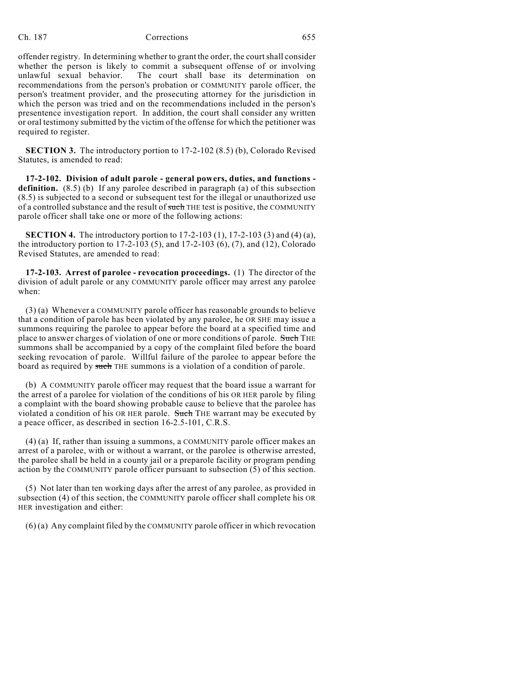## Ch. 187 Corrections 655

offender registry. In determining whether to grant the order, the court shall consider whether the person is likely to commit a subsequent offense of or involving unlawful sexual behavior. The court shall base its determination on recommendations from the person's probation or COMMUNITY parole officer, the person's treatment provider, and the prosecuting attorney for the jurisdiction in which the person was tried and on the recommendations included in the person's presentence investigation report. In addition, the court shall consider any written or oral testimony submitted by the victim of the offense for which the petitioner was required to register.

**SECTION 3.** The introductory portion to 17-2-102 (8.5) (b), Colorado Revised Statutes, is amended to read:

**17-2-102. Division of adult parole - general powers, duties, and functions definition.** (8.5) (b) If any parolee described in paragraph (a) of this subsection (8.5) is subjected to a second or subsequent test for the illegal or unauthorized use of a controlled substance and the result of such THE test is positive, the COMMUNITY parole officer shall take one or more of the following actions:

**SECTION 4.** The introductory portion to 17-2-103 (1), 17-2-103 (3) and (4) (a), the introductory portion to 17-2-103 (5), and 17-2-103 (6), (7), and (12), Colorado Revised Statutes, are amended to read:

**17-2-103. Arrest of parolee - revocation proceedings.** (1) The director of the division of adult parole or any COMMUNITY parole officer may arrest any parolee when:

(3) (a) Whenever a COMMUNITY parole officer has reasonable grounds to believe that a condition of parole has been violated by any parolee, he OR SHE may issue a summons requiring the parolee to appear before the board at a specified time and place to answer charges of violation of one or more conditions of parole. Such THE summons shall be accompanied by a copy of the complaint filed before the board seeking revocation of parole. Willful failure of the parolee to appear before the board as required by such THE summons is a violation of a condition of parole.

(b) A COMMUNITY parole officer may request that the board issue a warrant for the arrest of a parolee for violation of the conditions of his OR HER parole by filing a complaint with the board showing probable cause to believe that the parolee has violated a condition of his OR HER parole. Such THE warrant may be executed by a peace officer, as described in section 16-2.5-101, C.R.S.

(4) (a) If, rather than issuing a summons, a COMMUNITY parole officer makes an arrest of a parolee, with or without a warrant, or the parolee is otherwise arrested, the parolee shall be held in a county jail or a preparole facility or program pending action by the COMMUNITY parole officer pursuant to subsection (5) of this section.

(5) Not later than ten working days after the arrest of any parolee, as provided in subsection (4) of this section, the COMMUNITY parole officer shall complete his OR HER investigation and either:

(6) (a) Any complaint filed by the COMMUNITY parole officer in which revocation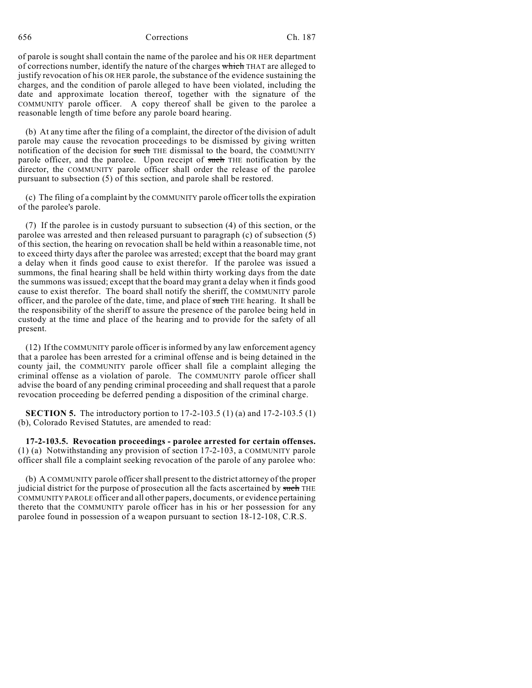656 Corrections Ch. 187

of parole is sought shall contain the name of the parolee and his OR HER department of corrections number, identify the nature of the charges which THAT are alleged to justify revocation of his OR HER parole, the substance of the evidence sustaining the charges, and the condition of parole alleged to have been violated, including the date and approximate location thereof, together with the signature of the COMMUNITY parole officer. A copy thereof shall be given to the parolee a reasonable length of time before any parole board hearing.

(b) At any time after the filing of a complaint, the director of the division of adult parole may cause the revocation proceedings to be dismissed by giving written notification of the decision for such THE dismissal to the board, the COMMUNITY parole officer, and the parolee. Upon receipt of such THE notification by the director, the COMMUNITY parole officer shall order the release of the parolee pursuant to subsection (5) of this section, and parole shall be restored.

(c) The filing of a complaint by the COMMUNITY parole officer tolls the expiration of the parolee's parole.

(7) If the parolee is in custody pursuant to subsection (4) of this section, or the parolee was arrested and then released pursuant to paragraph (c) of subsection (5) of this section, the hearing on revocation shall be held within a reasonable time, not to exceed thirty days after the parolee was arrested; except that the board may grant a delay when it finds good cause to exist therefor. If the parolee was issued a summons, the final hearing shall be held within thirty working days from the date the summons was issued; except that the board may grant a delay when it finds good cause to exist therefor. The board shall notify the sheriff, the COMMUNITY parole officer, and the parolee of the date, time, and place of such THE hearing. It shall be the responsibility of the sheriff to assure the presence of the parolee being held in custody at the time and place of the hearing and to provide for the safety of all present.

(12) If the COMMUNITY parole officer is informed by any law enforcement agency that a parolee has been arrested for a criminal offense and is being detained in the county jail, the COMMUNITY parole officer shall file a complaint alleging the criminal offense as a violation of parole. The COMMUNITY parole officer shall advise the board of any pending criminal proceeding and shall request that a parole revocation proceeding be deferred pending a disposition of the criminal charge.

**SECTION 5.** The introductory portion to 17-2-103.5 (1) (a) and 17-2-103.5 (1) (b), Colorado Revised Statutes, are amended to read:

**17-2-103.5. Revocation proceedings - parolee arrested for certain offenses.** (1) (a) Notwithstanding any provision of section 17-2-103, a COMMUNITY parole officer shall file a complaint seeking revocation of the parole of any parolee who:

(b) A COMMUNITY parole officer shall present to the district attorney of the proper judicial district for the purpose of prosecution all the facts ascertained by such THE COMMUNITY PAROLE officer and all other papers, documents, or evidence pertaining thereto that the COMMUNITY parole officer has in his or her possession for any parolee found in possession of a weapon pursuant to section 18-12-108, C.R.S.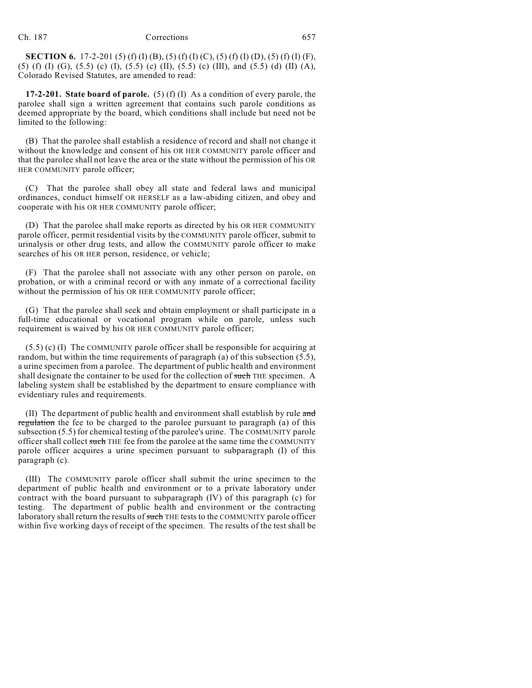**SECTION 6.** 17-2-201 (5) (f) (I) (B), (5) (f) (I) (C), (5) (f) (I) (D), (5) (f) (I) (F), (5) (f) (I) (G), (5.5) (c) (I), (5.5) (c) (II), (5.5) (c) (III), and (5.5) (d) (II) (A), Colorado Revised Statutes, are amended to read:

**17-2-201. State board of parole.** (5) (f) (I) As a condition of every parole, the parolee shall sign a written agreement that contains such parole conditions as deemed appropriate by the board, which conditions shall include but need not be limited to the following:

(B) That the parolee shall establish a residence of record and shall not change it without the knowledge and consent of his OR HER COMMUNITY parole officer and that the parolee shall not leave the area or the state without the permission of his OR HER COMMUNITY parole officer;

(C) That the parolee shall obey all state and federal laws and municipal ordinances, conduct himself OR HERSELF as a law-abiding citizen, and obey and cooperate with his OR HER COMMUNITY parole officer;

(D) That the parolee shall make reports as directed by his OR HER COMMUNITY parole officer, permit residential visits by the COMMUNITY parole officer, submit to urinalysis or other drug tests, and allow the COMMUNITY parole officer to make searches of his OR HER person, residence, or vehicle;

(F) That the parolee shall not associate with any other person on parole, on probation, or with a criminal record or with any inmate of a correctional facility without the permission of his OR HER COMMUNITY parole officer;

(G) That the parolee shall seek and obtain employment or shall participate in a full-time educational or vocational program while on parole, unless such requirement is waived by his OR HER COMMUNITY parole officer;

(5.5) (c) (I) The COMMUNITY parole officer shall be responsible for acquiring at random, but within the time requirements of paragraph (a) of this subsection (5.5), a urine specimen from a parolee. The department of public health and environment shall designate the container to be used for the collection of such THE specimen. A labeling system shall be established by the department to ensure compliance with evidentiary rules and requirements.

(II) The department of public health and environment shall establish by rule  $\alpha$ nd regulation the fee to be charged to the parolee pursuant to paragraph (a) of this subsection (5.5) for chemical testing of the parolee's urine. The COMMUNITY parole officer shall collect such THE fee from the parolee at the same time the COMMUNITY parole officer acquires a urine specimen pursuant to subparagraph (I) of this paragraph (c).

(III) The COMMUNITY parole officer shall submit the urine specimen to the department of public health and environment or to a private laboratory under contract with the board pursuant to subparagraph (IV) of this paragraph (c) for testing. The department of public health and environment or the contracting laboratory shall return the results of such THE tests to the COMMUNITY parole officer within five working days of receipt of the specimen. The results of the test shall be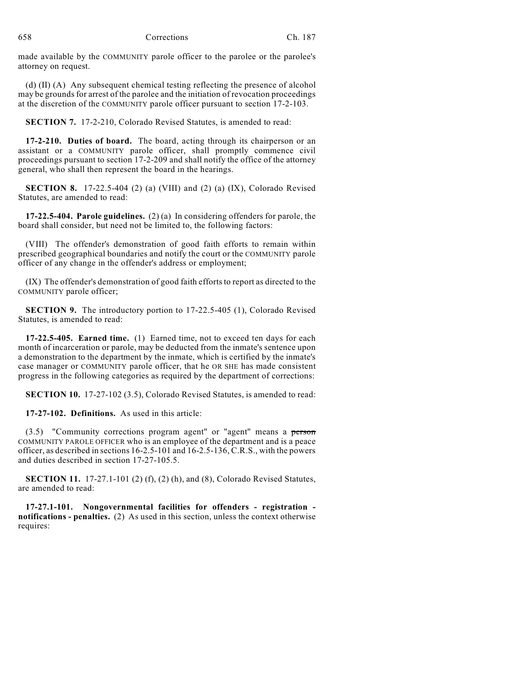made available by the COMMUNITY parole officer to the parolee or the parolee's attorney on request.

(d) (II) (A) Any subsequent chemical testing reflecting the presence of alcohol may be grounds for arrest of the parolee and the initiation of revocation proceedings at the discretion of the COMMUNITY parole officer pursuant to section 17-2-103.

**SECTION 7.** 17-2-210, Colorado Revised Statutes, is amended to read:

**17-2-210. Duties of board.** The board, acting through its chairperson or an assistant or a COMMUNITY parole officer, shall promptly commence civil proceedings pursuant to section 17-2-209 and shall notify the office of the attorney general, who shall then represent the board in the hearings.

**SECTION 8.** 17-22.5-404 (2) (a) (VIII) and (2) (a) (IX), Colorado Revised Statutes, are amended to read:

**17-22.5-404. Parole guidelines.** (2) (a) In considering offenders for parole, the board shall consider, but need not be limited to, the following factors:

(VIII) The offender's demonstration of good faith efforts to remain within prescribed geographical boundaries and notify the court or the COMMUNITY parole officer of any change in the offender's address or employment;

(IX) The offender's demonstration of good faith efforts to report as directed to the COMMUNITY parole officer;

**SECTION 9.** The introductory portion to 17-22.5-405 (1), Colorado Revised Statutes, is amended to read:

**17-22.5-405. Earned time.** (1) Earned time, not to exceed ten days for each month of incarceration or parole, may be deducted from the inmate's sentence upon a demonstration to the department by the inmate, which is certified by the inmate's case manager or COMMUNITY parole officer, that he OR SHE has made consistent progress in the following categories as required by the department of corrections:

**SECTION 10.** 17-27-102 (3.5), Colorado Revised Statutes, is amended to read:

**17-27-102. Definitions.** As used in this article:

(3.5) "Community corrections program agent" or "agent" means a person COMMUNITY PAROLE OFFICER who is an employee of the department and is a peace officer, as described in sections 16-2.5-101 and 16-2.5-136, C.R.S., with the powers and duties described in section 17-27-105.5.

**SECTION 11.** 17-27.1-101 (2) (f), (2) (h), and (8), Colorado Revised Statutes, are amended to read:

**17-27.1-101. Nongovernmental facilities for offenders - registration notifications - penalties.** (2) As used in this section, unless the context otherwise requires: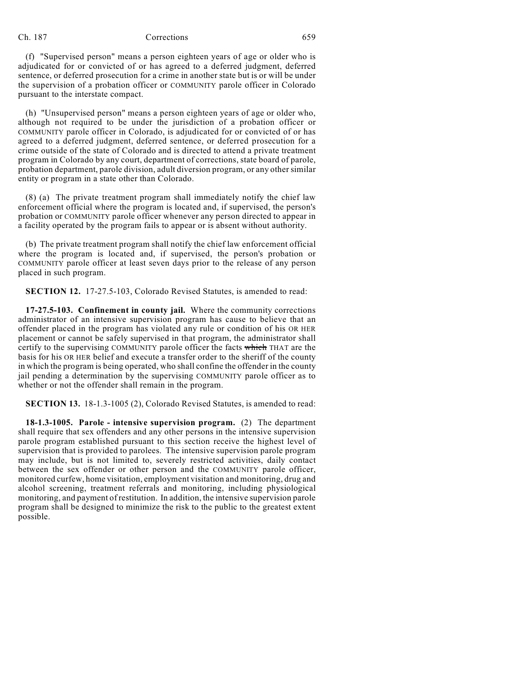#### Ch. 187 Corrections 659

(f) "Supervised person" means a person eighteen years of age or older who is adjudicated for or convicted of or has agreed to a deferred judgment, deferred sentence, or deferred prosecution for a crime in another state but is or will be under the supervision of a probation officer or COMMUNITY parole officer in Colorado pursuant to the interstate compact.

(h) "Unsupervised person" means a person eighteen years of age or older who, although not required to be under the jurisdiction of a probation officer or COMMUNITY parole officer in Colorado, is adjudicated for or convicted of or has agreed to a deferred judgment, deferred sentence, or deferred prosecution for a crime outside of the state of Colorado and is directed to attend a private treatment program in Colorado by any court, department of corrections, state board of parole, probation department, parole division, adult diversion program, or any other similar entity or program in a state other than Colorado.

(8) (a) The private treatment program shall immediately notify the chief law enforcement official where the program is located and, if supervised, the person's probation or COMMUNITY parole officer whenever any person directed to appear in a facility operated by the program fails to appear or is absent without authority.

(b) The private treatment program shall notify the chief law enforcement official where the program is located and, if supervised, the person's probation or COMMUNITY parole officer at least seven days prior to the release of any person placed in such program.

**SECTION 12.** 17-27.5-103, Colorado Revised Statutes, is amended to read:

**17-27.5-103. Confinement in county jail.** Where the community corrections administrator of an intensive supervision program has cause to believe that an offender placed in the program has violated any rule or condition of his OR HER placement or cannot be safely supervised in that program, the administrator shall certify to the supervising COMMUNITY parole officer the facts which THAT are the basis for his OR HER belief and execute a transfer order to the sheriff of the county in which the program is being operated, who shall confine the offender in the county jail pending a determination by the supervising COMMUNITY parole officer as to whether or not the offender shall remain in the program.

**SECTION 13.** 18-1.3-1005 (2), Colorado Revised Statutes, is amended to read:

**18-1.3-1005. Parole - intensive supervision program.** (2) The department shall require that sex offenders and any other persons in the intensive supervision parole program established pursuant to this section receive the highest level of supervision that is provided to parolees. The intensive supervision parole program may include, but is not limited to, severely restricted activities, daily contact between the sex offender or other person and the COMMUNITY parole officer, monitored curfew, home visitation, employment visitation and monitoring, drug and alcohol screening, treatment referrals and monitoring, including physiological monitoring, and payment of restitution. In addition, the intensive supervision parole program shall be designed to minimize the risk to the public to the greatest extent possible.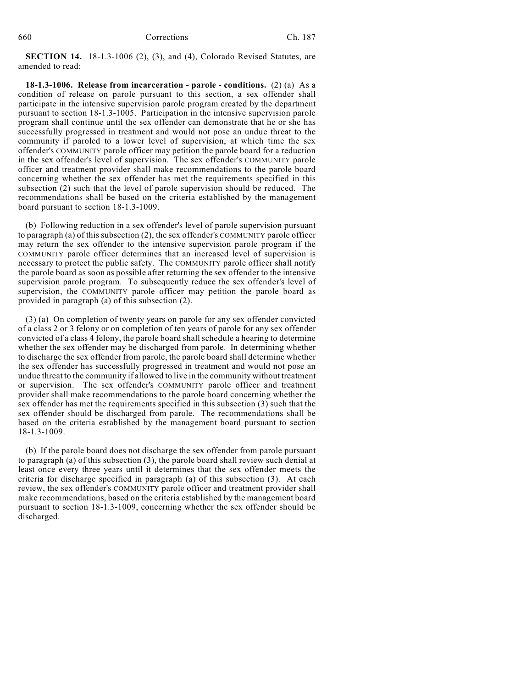**SECTION 14.** 18-1.3-1006 (2), (3), and (4), Colorado Revised Statutes, are amended to read:

**18-1.3-1006. Release from incarceration - parole - conditions.** (2) (a) As a condition of release on parole pursuant to this section, a sex offender shall participate in the intensive supervision parole program created by the department pursuant to section 18-1.3-1005. Participation in the intensive supervision parole program shall continue until the sex offender can demonstrate that he or she has successfully progressed in treatment and would not pose an undue threat to the community if paroled to a lower level of supervision, at which time the sex offender's COMMUNITY parole officer may petition the parole board for a reduction in the sex offender's level of supervision. The sex offender's COMMUNITY parole officer and treatment provider shall make recommendations to the parole board concerning whether the sex offender has met the requirements specified in this subsection (2) such that the level of parole supervision should be reduced. The recommendations shall be based on the criteria established by the management board pursuant to section 18-1.3-1009.

(b) Following reduction in a sex offender's level of parole supervision pursuant to paragraph (a) of this subsection (2), the sex offender's COMMUNITY parole officer may return the sex offender to the intensive supervision parole program if the COMMUNITY parole officer determines that an increased level of supervision is necessary to protect the public safety. The COMMUNITY parole officer shall notify the parole board as soon as possible after returning the sex offender to the intensive supervision parole program. To subsequently reduce the sex offender's level of supervision, the COMMUNITY parole officer may petition the parole board as provided in paragraph (a) of this subsection (2).

(3) (a) On completion of twenty years on parole for any sex offender convicted of a class 2 or 3 felony or on completion of ten years of parole for any sex offender convicted of a class 4 felony, the parole board shall schedule a hearing to determine whether the sex offender may be discharged from parole. In determining whether to discharge the sex offender from parole, the parole board shall determine whether the sex offender has successfully progressed in treatment and would not pose an undue threat to the community if allowed to live in the community without treatment or supervision. The sex offender's COMMUNITY parole officer and treatment provider shall make recommendations to the parole board concerning whether the sex offender has met the requirements specified in this subsection (3) such that the sex offender should be discharged from parole. The recommendations shall be based on the criteria established by the management board pursuant to section 18-1.3-1009.

(b) If the parole board does not discharge the sex offender from parole pursuant to paragraph (a) of this subsection (3), the parole board shall review such denial at least once every three years until it determines that the sex offender meets the criteria for discharge specified in paragraph (a) of this subsection (3). At each review, the sex offender's COMMUNITY parole officer and treatment provider shall make recommendations, based on the criteria established by the management board pursuant to section 18-1.3-1009, concerning whether the sex offender should be discharged.